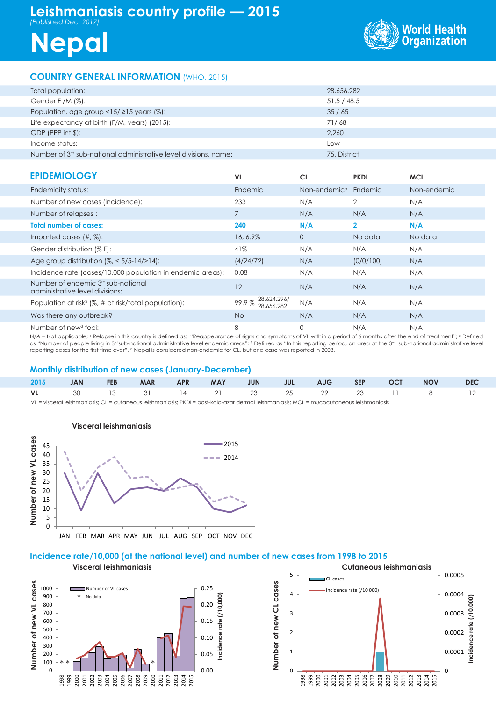# **Leishmaniasis country profile — 2015** *(Published Dec. 2017)*





## **COUNTRY GENERAL INFORMATION** (WHO, 2015)

| Total population:                                                  | 28,656,282   |
|--------------------------------------------------------------------|--------------|
| Gender F /M $(\%)$ :                                               | 51.5/48.5    |
| Population, age group $\langle 15/215 \rangle$ years (%):          | 35/65        |
| Life expectancy at birth (F/M, years) (2015):                      | 71/68        |
| $GDP$ (PPP int $\frac{1}{2}$ ):                                    | 2.260        |
| Income status:                                                     | Low          |
| Number of $3rd$ sub-national administrative level divisions, name: | 75, District |
|                                                                    |              |

| <b>EPIDEMIOLOGY</b>                                                               | VL.                                | <b>CL</b>                        | <b>PKDL</b>             | <b>MCL</b>  |
|-----------------------------------------------------------------------------------|------------------------------------|----------------------------------|-------------------------|-------------|
| Endemicity status:                                                                | Endemic                            | Non-endemic <sup>a</sup> Endemic |                         | Non-endemic |
| Number of new cases (incidence):                                                  | 233                                | N/A                              | $\overline{2}$          | N/A         |
| Number of relapses <sup>1</sup> :                                                 |                                    | N/A                              | N/A                     | N/A         |
| <b>Total number of cases:</b>                                                     | 240                                | N/A                              | $\overline{\mathbf{2}}$ | N/A         |
| Imported cases $(\#, \%)$ :                                                       | 16, 6.9%                           | $\overline{0}$                   | No data                 | No data     |
| Gender distribution (% F):                                                        | 41%                                | N/A                              | N/A                     | N/A         |
| Age group distribution $\frac{1}{6}$ < 5/5-14/>14):                               | (4/24/72)                          | N/A                              | (0/0/100)               | N/A         |
| Incidence rate (cases/10,000 population in endemic areas):                        | 0.08                               | N/A                              | N/A                     | N/A         |
| Number of endemic 3 <sup>rd</sup> sub-national<br>administrative level divisions: | 12                                 | N/A                              | N/A                     | N/A         |
| Population at risk <sup>2</sup> (%, # at risk/total population):                  | 28,624,296/<br>99.9%<br>28.656.282 | N/A                              | N/A                     | N/A         |
| Was there any outbreak?                                                           | No.                                | N/A                              | N/A                     | N/A         |
| Number of new <sup>3</sup> foci:                                                  | 8                                  | 0                                | N/A                     | N/A         |

N/A = Not applicable; <sup>1</sup> Relapse in this country is defined as: "Reappearance of signs and symptoms of VL within a period of 6 months after the end of treatment"; <sup>2</sup> Defined<br>as "Number of people living in 3ª sub-national reporting cases for the first time ever". <sup>a</sup> Nepal is considered non-endemic for CL, but one case was reported in 2008.

#### **Monthly distribution of new cases (January-December)**

|  |  |  |  |  |  |  |  |  | 2015 JAN FEB MAR APR MAY JUN JUL AUG SEP OCT NOV DEC |  |
|--|--|--|--|--|--|--|--|--|------------------------------------------------------|--|
|  |  |  |  |  |  |  |  |  | <b>VL</b> 30 13 31 14 21 23 25 29 23 11 8 12         |  |
|  |  |  |  |  |  |  |  |  |                                                      |  |

visceral leishmaniasis; CL = cutaneous leishmaniasis; PKDL= post-kala-azar dermal leishmaniasis; MCL = mucocutaneous leishmaniasis



JAN FEB MAR APR MAY JUN JUL AUG SEP OCT NOV DEC

### **Incidence rate/10,000 (at the national level) and number of new cases from 1998 to 2015**

**Visceral leishmaniasis Cutaneous leishmaniasis** 5 CL cases Number of new VL cases **Number of new VL cases** Number of new CL cases **Number of new CL cases** 1000 0.25 Number of VL cases Incidence rate (/10 000) 4 900 No data **Incidence rate (/10,000)** 0.000 800 0.20 700 3 Ξ 600 0.15 ote 500 2 ncidence 400 0.10 300 1 200 0.05 100 \*\* T | | | | | **M** <del>h</del>\* 0 0.00  $\theta$  $\Omega$ 1998 1999 2000 2001 2002 2003 2004 2005 2006 2007 2008 2009 2010 2011 2012 2013 2014 2015